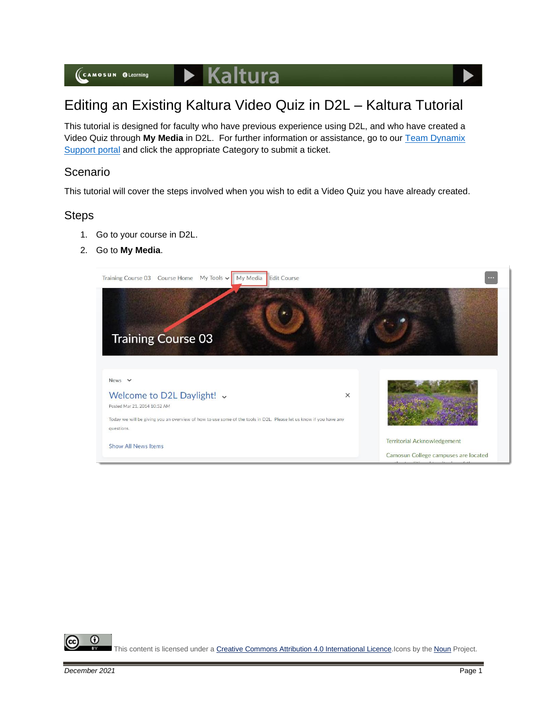## Editing an Existing Kaltura Video Quiz in D2L – Kaltura Tutorial

This tutorial is designed for faculty who have previous experience using D2L, and who have created a Video Quiz through **My Media** in D2L. For further information or assistance, go to our [Team Dynamix](https://camosun.teamdynamix.com/TDClient/67/Portal/Requests/ServiceCatalog?CategoryID=523)  [Support portal](https://camosun.teamdynamix.com/TDClient/67/Portal/Requests/ServiceCatalog?CategoryID=523) and click the appropriate Category to submit a ticket.

## Scenario

This tutorial will cover the steps involved when you wish to edit a Video Quiz you have already created.

## **Steps**

- 1. Go to your course in D2L.
- 2. Go to **My Media**.





This content is licensed under [a Creative Commons Attribution 4.0 International Licence.I](https://creativecommons.org/licenses/by/4.0/)cons by the [Noun](https://creativecommons.org/website-icons/) Project.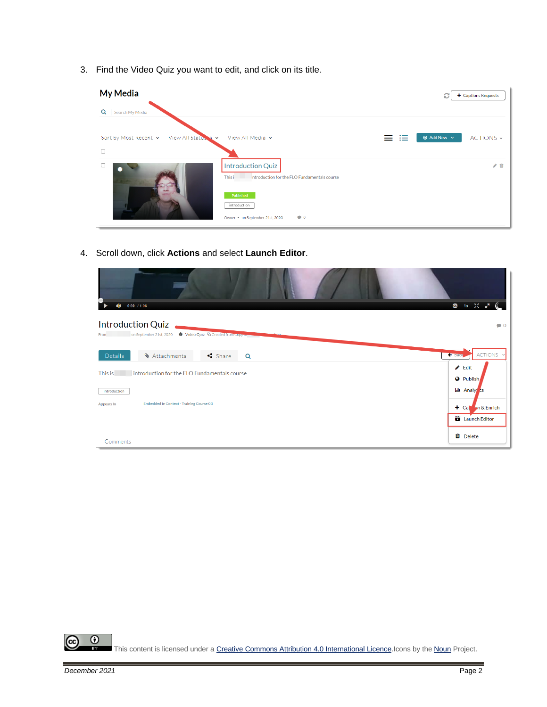3. Find the Video Quiz you want to edit, and click on its title.

| <b>My Media</b>                              |                                                                                                 |   | c                      | + Captions Requests |
|----------------------------------------------|-------------------------------------------------------------------------------------------------|---|------------------------|---------------------|
| Q<br>Search My Media                         |                                                                                                 |   |                        |                     |
| Sort by Most Recent v<br>View All Status & v | View All Media v                                                                                | 挂 | $\odot$ Add New $\sim$ | ACTIONS ~           |
| $\Box$                                       |                                                                                                 |   |                        |                     |
| ∙                                            | <b>Introduction Quiz</b><br>This i<br>Introduction for the FLO Fundamentals course<br>Published |   |                        | ◢ 血                 |
|                                              | introduction<br>$\bullet$ 0<br>Owner • on September 21st, 2020                                  |   |                        |                     |

4. Scroll down, click **Actions** and select **Launch Editor**.

| $0:00$ / 1:06<br>$\bullet$                                                                                               | 图 1x 20 g <sup>m</sup>                                           |
|--------------------------------------------------------------------------------------------------------------------------|------------------------------------------------------------------|
| Introduction Quiz<br>on September 21st, 2020<br><b>O</b> Video Quiz <sup>Q</sup> Created from Copy on<br>From            | $\bullet$ 0                                                      |
| <b>&amp; Attachments</b><br>S <sub>bare</sub><br>Details<br>Q<br>This is<br>introduction for the FLO Fundamentals course | ACTIONS Y<br>← Back<br>$\triangle$ Edit                          |
| introduction<br>Embedded In Context - Training Course 03<br>Appears In                                                   | <b>O</b> Publish<br><b>Lil</b> Analy cs<br>$\pm$ Cap on & Enrich |
| Comments                                                                                                                 | Launch Editor<br><b>O</b> Delete                                 |

 $\overline{0}$ ඥ This content is licensed under [a Creative Commons Attribution 4.0 International Licence.I](https://creativecommons.org/licenses/by/4.0/)cons by the [Noun](https://creativecommons.org/website-icons/) Project.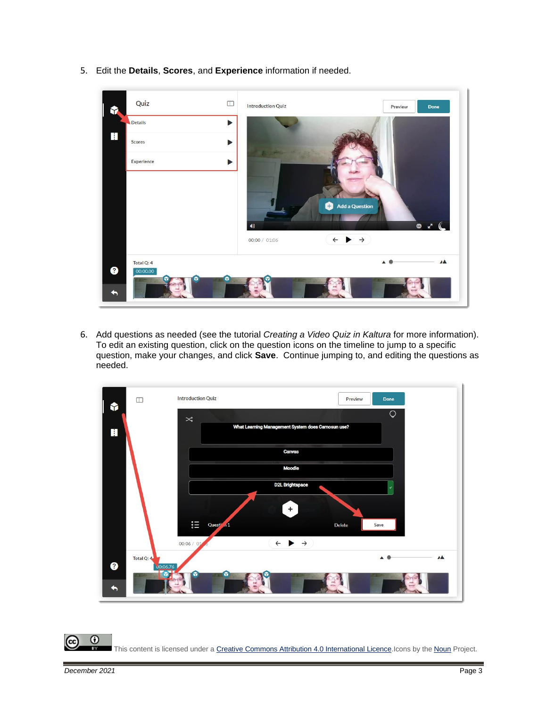5. Edit the **Details**, **Scores**, and **Experience** information if needed.



6. Add questions as needed (see the tutorial *Creating a Video Quiz in Kaltura* for more information). To edit an existing question, click on the question icons on the timeline to jump to a specific question, make your changes, and click **Save**. Continue jumping to, and editing the questions as needed.

| $\Box$<br>Y     | <b>Introduction Quiz</b><br>Preview                                                           | Done           |
|-----------------|-----------------------------------------------------------------------------------------------|----------------|
| $\blacksquare$  | $\bowtie$<br>What Learning Management System does Camosun use?                                | $\circ$        |
|                 | Canvas<br><b>Moodle</b>                                                                       |                |
|                 | <b>D2L Brightspace</b>                                                                        | v.             |
|                 | $\ddot{}$<br>$\mathop{\mathbb{I}}\limits^{\bullet}$<br>Questi <sub>a</sub> 1<br><b>Delete</b> | Save           |
|                 | $\leftarrow \rightarrow \rightarrow$<br>00:06 / 01                                            |                |
| Total Q: 4<br>❸ | 00:06.76<br>ದಾ<br>G<br>Y                                                                      | $\overline{A}$ |
| $\leftarrow$    |                                                                                               |                |

 $\Omega$ This content is licensed under [a Creative Commons Attribution 4.0 International Licence.I](https://creativecommons.org/licenses/by/4.0/)cons by the [Noun](https://creativecommons.org/website-icons/) Project.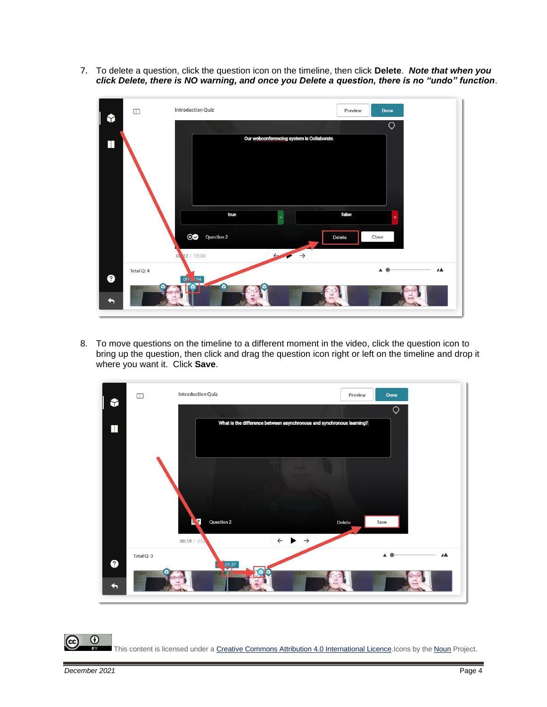7. To delete a question, click the question icon on the timeline, then click **Delete**. *Note that when you click Delete, there is NO warning, and once you Delete a question, there is no "undo" function*.



8. To move questions on the timeline to a different moment in the video, click the question icon to bring up the question, then click and drag the question icon right or left on the timeline and drop it where you want it. Click **Save**.



 $\odot$ This content is licensed under [a Creative Commons Attribution 4.0 International Licence.I](https://creativecommons.org/licenses/by/4.0/)cons by the [Noun](https://creativecommons.org/website-icons/) Project.